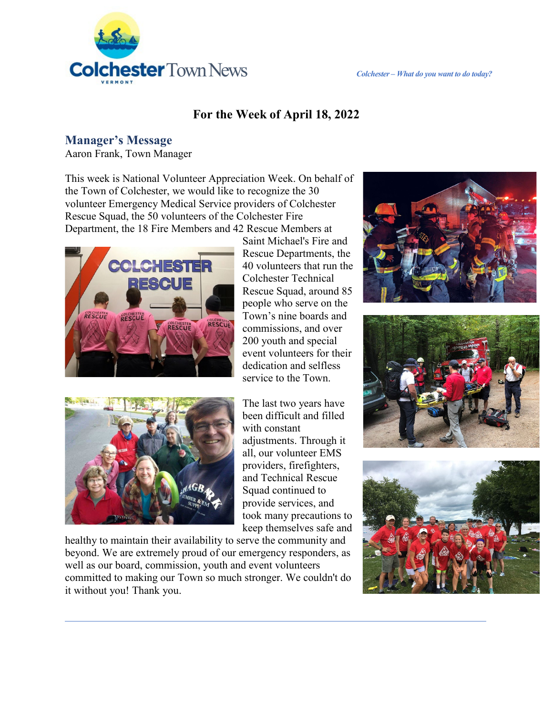

#### **For the Week of April 18, 2022**

#### **Manager's Message**

Aaron Frank, Town Manager

This week is National Volunteer Appreciation Week. On behalf of the Town of Colchester, we would like to recognize the 30 volunteer Emergency Medical Service providers of Colchester Rescue Squad, the 50 volunteers of the Colchester Fire Department, the 18 Fire Members and 42 Rescue Members at



Saint Michael's Fire and Rescue Departments, the 40 volunteers that run the Colchester Technical Rescue Squad, around 85 people who serve on the Town's nine boards and commissions, and over 200 youth and special event volunteers for their dedication and selfless service to the Town.



The last two years have been difficult and filled with constant adjustments. Through it all, our volunteer EMS providers, firefighters, and Technical Rescue Squad continued to provide services, and took many precautions to keep themselves safe and

healthy to maintain their availability to serve the community and beyond. We are extremely proud of our emergency responders, as well as our board, commission, youth and event volunteers committed to making our Town so much stronger. We couldn't do it without you! Thank you.





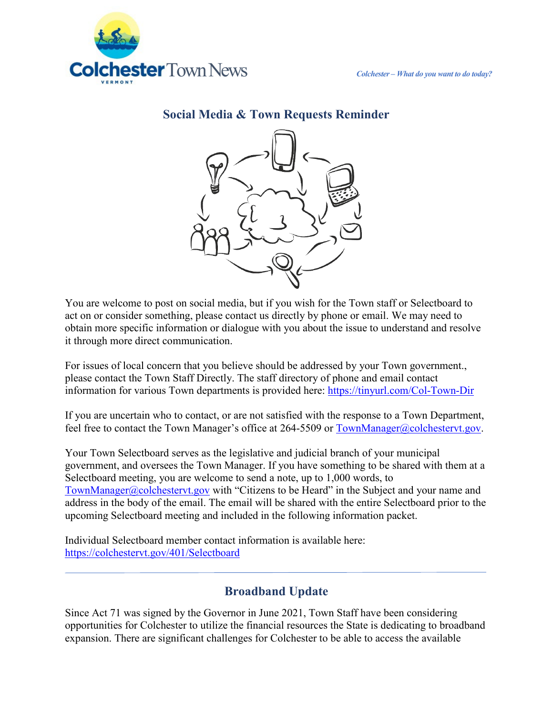

**Social Media & Town Requests Reminder**

You are welcome to post on social media, but if you wish for the Town staff or Selectboard to act on or consider something, please contact us directly by phone or email. We may need to obtain more specific information or dialogue with you about the issue to understand and resolve it through more direct communication.

For issues of local concern that you believe should be addressed by your Town government., please contact the Town Staff Directly. The staff directory of phone and email contact information for various Town departments is provided here:<https://tinyurl.com/Col-Town-Dir>

If you are uncertain who to contact, or are not satisfied with the response to a Town Department, feel free to contact the Town Manager's office at 264-5509 or [TownManager@colchestervt.gov.](mailto:TownManager@colchestervt.gov)

Your Town Selectboard serves as the legislative and judicial branch of your municipal government, and oversees the Town Manager. If you have something to be shared with them at a Selectboard meeting, you are welcome to send a note, up to 1,000 words, to [TownManager@colchestervt.gov](mailto:TownManager@colchestervt.gov) with "Citizens to be Heard" in the Subject and your name and address in the body of the email. The email will be shared with the entire Selectboard prior to the upcoming Selectboard meeting and included in the following information packet.

Individual Selectboard member contact information is available here: <https://colchestervt.gov/401/Selectboard>

## **Broadband Update**

Since Act 71 was signed by the Governor in June 2021, Town Staff have been considering opportunities for Colchester to utilize the financial resources the State is dedicating to broadband expansion. There are significant challenges for Colchester to be able to access the available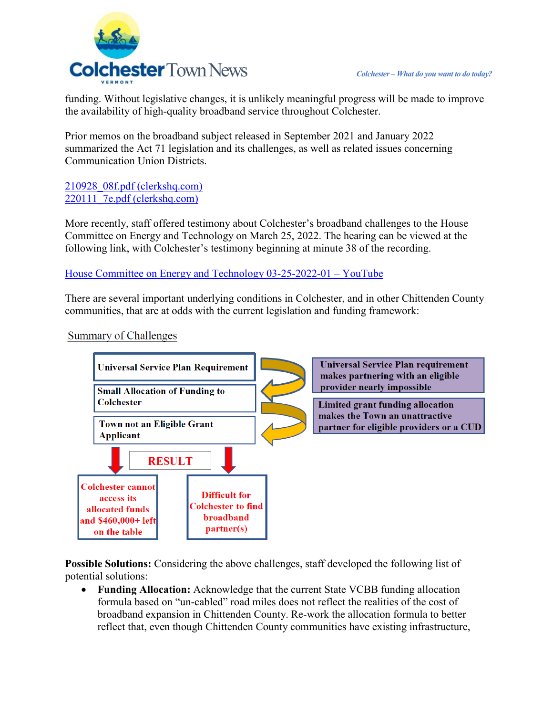

funding. Without legislative changes, it is unlikely meaningful progress will be made to improve the availability of high-quality broadband service throughout Colchester.

Prior memos on the broadband subject released in September 2021 and January 2022 summarized the Act 71 legislation and its challenges, as well as related issues concerning Communication Union Districts.

[210928\\_08f.pdf \(clerkshq.com\)](https://clerkshq.com/Content/Attachments/Colchester-vt/210928_08f.pdf?clientSite=Colchester-vt)  [220111\\_7e.pdf \(clerkshq.com\)](https://clerkshq.com/Content/Attachments/Colchester-vt/220111_7e.pdf?clientSite=Colchester-vt)

More recently, staff offered testimony about Colchester's broadband challenges to the House Committee on Energy and Technology on March 25, 2022. The hearing can be viewed at the following link, with Colchester's testimony beginning at minute 38 of the recording.

[House Committee on Energy and Technology 03-25-2022-01 – YouTube](https://www.youtube.com/watch?v=dYnBcAhKCvk)

There are several important underlying conditions in Colchester, and in other Chittenden County communities, that are at odds with the current legislation and funding framework:

**Summary of Challenges** 



**Possible Solutions:** Considering the above challenges, staff developed the following list of potential solutions:

• **Funding Allocation:** Acknowledge that the current State VCBB funding allocation formula based on "un-cabled" road miles does not reflect the realities of the cost of broadband expansion in Chittenden County. Re-work the allocation formula to better reflect that, even though Chittenden County communities have existing infrastructure,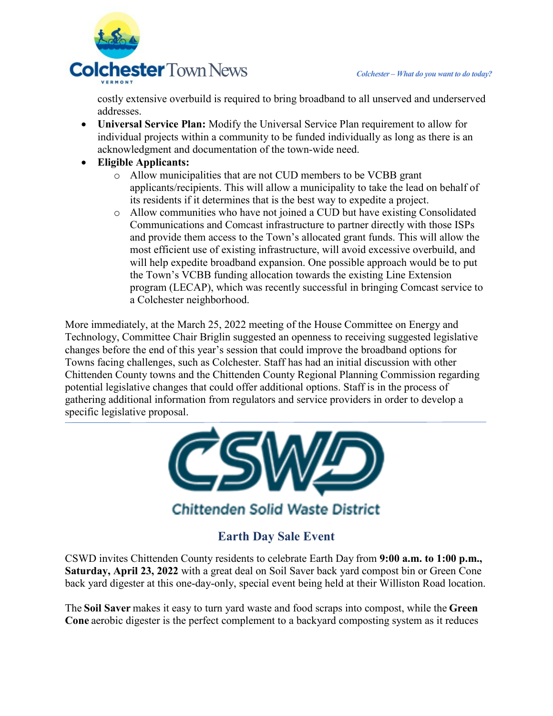

costly extensive overbuild is required to bring broadband to all unserved and underserved addresses.

- **Universal Service Plan:** Modify the Universal Service Plan requirement to allow for individual projects within a community to be funded individually as long as there is an acknowledgment and documentation of the town-wide need.
- **Eligible Applicants:**
	- o Allow municipalities that are not CUD members to be VCBB grant applicants/recipients. This will allow a municipality to take the lead on behalf of its residents if it determines that is the best way to expedite a project.
	- o Allow communities who have not joined a CUD but have existing Consolidated Communications and Comcast infrastructure to partner directly with those ISPs and provide them access to the Town's allocated grant funds. This will allow the most efficient use of existing infrastructure, will avoid excessive overbuild, and will help expedite broadband expansion. One possible approach would be to put the Town's VCBB funding allocation towards the existing Line Extension program (LECAP), which was recently successful in bringing Comcast service to a Colchester neighborhood.

More immediately, at the March 25, 2022 meeting of the House Committee on Energy and Technology, Committee Chair Briglin suggested an openness to receiving suggested legislative changes before the end of this year's session that could improve the broadband options for Towns facing challenges, such as Colchester. Staff has had an initial discussion with other Chittenden County towns and the Chittenden County Regional Planning Commission regarding potential legislative changes that could offer additional options. Staff is in the process of gathering additional information from regulators and service providers in order to develop a specific legislative proposal.



# **Earth Day Sale Event**

CSWD invites Chittenden County residents to celebrate Earth Day from **9:00 a.m. to 1:00 p.m., Saturday, April 23, 2022** with a great deal on Soil Saver back yard compost bin or Green Cone back yard digester at this one-day-only, special event being held at their Williston Road location.

The **Soil Saver** makes it easy to turn yard waste and food scraps into compost, while the **Green Cone**aerobic digester is the perfect complement to a backyard composting system as it reduces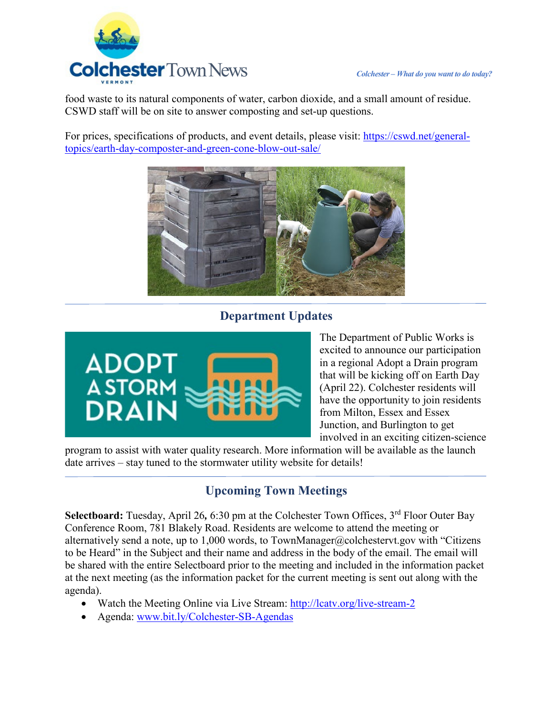



food waste to its natural components of water, carbon dioxide, and a small amount of residue. CSWD staff will be on site to answer composting and set-up questions.

For prices, specifications of products, and event details, please visit: [https://cswd.net/general](https://cswd.net/general-topics/earth-day-composter-and-green-cone-blow-out-sale/)[topics/earth-day-composter-and-green-cone-blow-out-sale/](https://cswd.net/general-topics/earth-day-composter-and-green-cone-blow-out-sale/)



## **Department Updates**



The Department of Public Works is excited to announce our participation in a regional Adopt a Drain program that will be kicking off on Earth Day (April 22). Colchester residents will have the opportunity to join residents from Milton, Essex and Essex Junction, and Burlington to get involved in an exciting citizen-science

program to assist with water quality research. More information will be available as the launch date arrives – stay tuned to the stormwater utility website for details!

# **Upcoming Town Meetings**

Selectboard: Tuesday, April 26, 6:30 pm at the Colchester Town Offices, 3<sup>rd</sup> Floor Outer Bay Conference Room, 781 Blakely Road. Residents are welcome to attend the meeting or alternatively send a note, up to 1,000 words, to TownManager@colchestervt.gov with "Citizens to be Heard" in the Subject and their name and address in the body of the email. The email will be shared with the entire Selectboard prior to the meeting and included in the information packet at the next meeting (as the information packet for the current meeting is sent out along with the agenda).

- Watch the Meeting Online via Live Stream:<http://lcatv.org/live-stream-2>
- Agenda: [www.bit.ly/Colchester-SB-Agendas](http://www.bit.ly/Colchester-SB-Agendas)